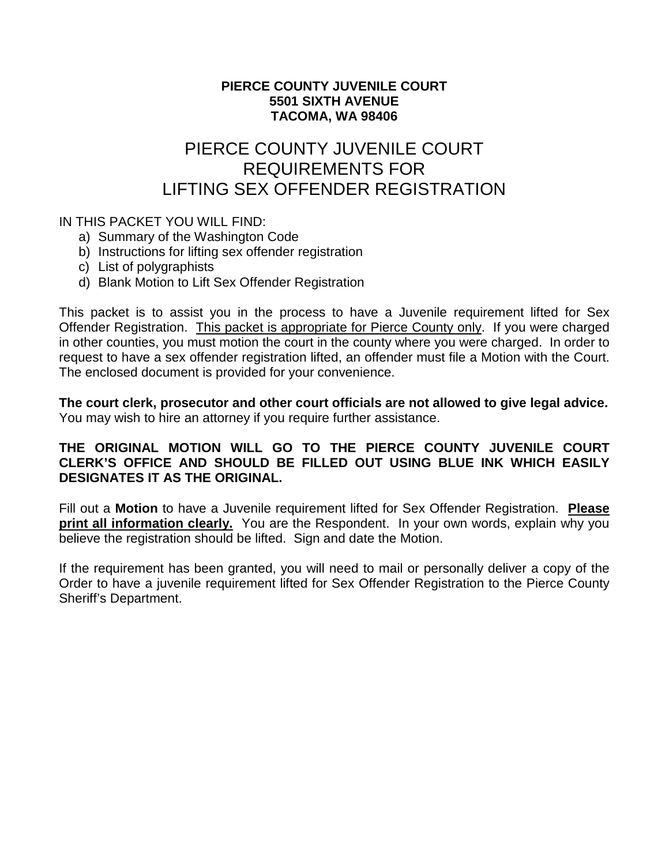### **PIERCE COUNTY JUVENILE COURT 5501 SIXTH AVENUE TACOMA, WA 98406**

## PIERCE COUNTY JUVENILE COURT REQUIREMENTS FOR LIFTING SEX OFFENDER REGISTRATION

### IN THIS PACKET YOU WILL FIND:

- a) Summary of the Washington Code
- b) Instructions for lifting sex offender registration
- c) List of polygraphists
- d) Blank Motion to Lift Sex Offender Registration

This packet is to assist you in the process to have a Juvenile requirement lifted for Sex Offender Registration. This packet is appropriate for Pierce County only. If you were charged in other counties, you must motion the court in the county where you were charged. In order to request to have a sex offender registration lifted, an offender must file a Motion with the Court. The enclosed document is provided for your convenience.

**The court clerk, prosecutor and other court officials are not allowed to give legal advice.**  You may wish to hire an attorney if you require further assistance.

### **THE ORIGINAL MOTION WILL GO TO THE PIERCE COUNTY JUVENILE COURT CLERK'S OFFICE AND SHOULD BE FILLED OUT USING BLUE INK WHICH EASILY DESIGNATES IT AS THE ORIGINAL.**

Fill out a **Motion** to have a Juvenile requirement lifted for Sex Offender Registration. **Please print all information clearly.** You are the Respondent. In your own words, explain why you believe the registration should be lifted. Sign and date the Motion.

If the requirement has been granted, you will need to mail or personally deliver a copy of the Order to have a juvenile requirement lifted for Sex Offender Registration to the Pierce County Sheriff's Department.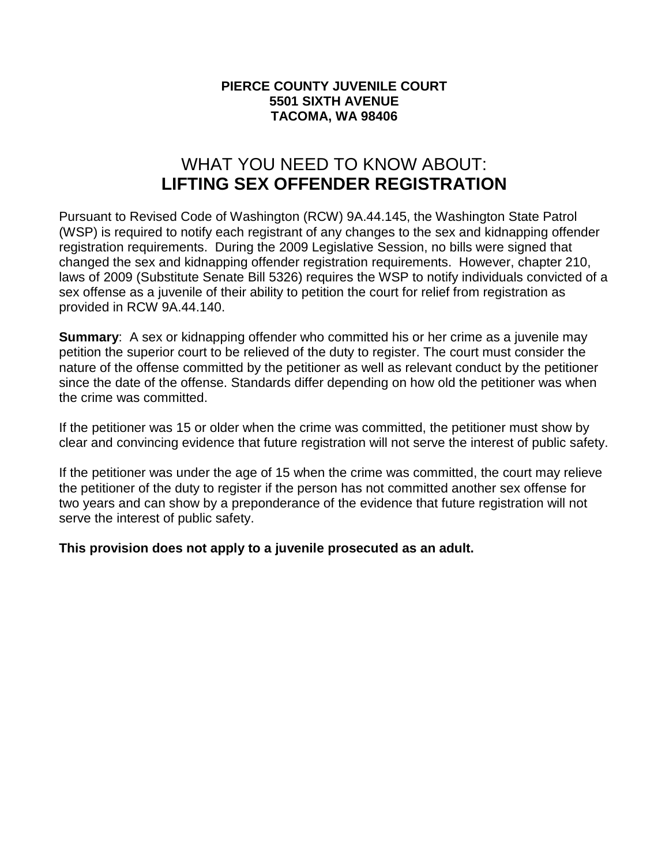### **PIERCE COUNTY JUVENILE COURT 5501 SIXTH AVENUE TACOMA, WA 98406**

## WHAT YOU NEED TO KNOW ABOUT: **LIFTING SEX OFFENDER REGISTRATION**

Pursuant to Revised Code of Washington (RCW) 9A.44.145, the Washington State Patrol (WSP) is required to notify each registrant of any changes to the sex and kidnapping offender registration requirements. During the 2009 Legislative Session, no bills were signed that changed the sex and kidnapping offender registration requirements. However, chapter 210, laws of 2009 (Substitute Senate Bill 5326) requires the WSP to notify individuals convicted of a sex offense as a juvenile of their ability to petition the court for relief from registration as provided in RCW 9A.44.140.

**Summary**: A sex or kidnapping offender who committed his or her crime as a juvenile may petition the superior court to be relieved of the duty to register. The court must consider the nature of the offense committed by the petitioner as well as relevant conduct by the petitioner since the date of the offense. Standards differ depending on how old the petitioner was when the crime was committed.

If the petitioner was 15 or older when the crime was committed, the petitioner must show by clear and convincing evidence that future registration will not serve the interest of public safety.

If the petitioner was under the age of 15 when the crime was committed, the court may relieve the petitioner of the duty to register if the person has not committed another sex offense for two years and can show by a preponderance of the evidence that future registration will not serve the interest of public safety.

**This provision does not apply to a juvenile prosecuted as an adult.**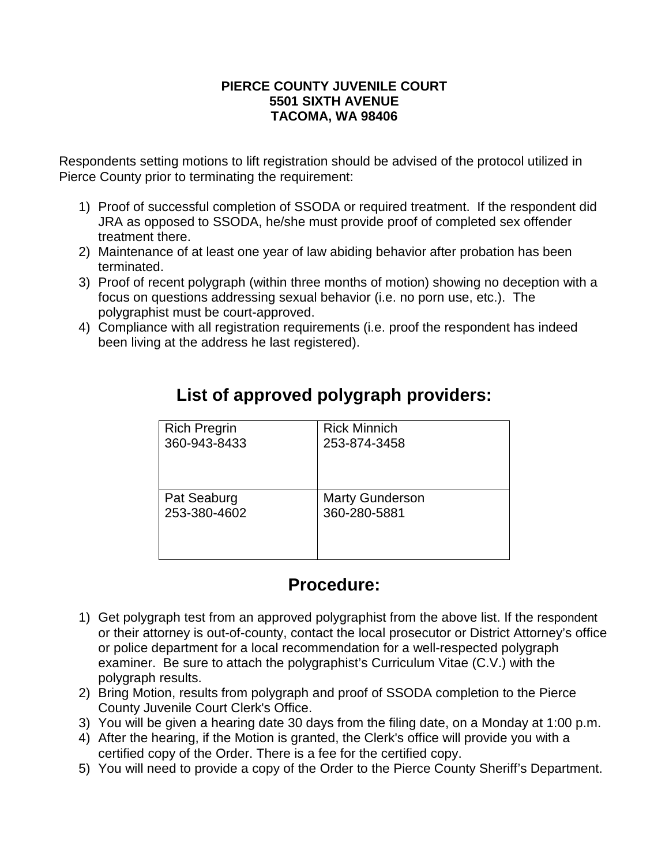#### **PIERCE COUNTY JUVENILE COURT 5501 SIXTH AVENUE TACOMA, WA 98406**

Respondents setting motions to lift registration should be advised of the protocol utilized in Pierce County prior to terminating the requirement:

- 1) Proof of successful completion of SSODA or required treatment. If the respondent did JRA as opposed to SSODA, he/she must provide proof of completed sex offender treatment there.
- 2) Maintenance of at least one year of law abiding behavior after probation has been terminated.
- 3) Proof of recent polygraph (within three months of motion) showing no deception with a focus on questions addressing sexual behavior (i.e. no porn use, etc.). The polygraphist must be court-approved.
- 4) Compliance with all registration requirements (i.e. proof the respondent has indeed been living at the address he last registered).

| <b>Rick Minnich</b>    |
|------------------------|
| 253-874-3458           |
|                        |
|                        |
| <b>Marty Gunderson</b> |
| 360-280-5881           |
|                        |
|                        |
|                        |

# **List of approved polygraph providers:**

# **Procedure:**

- 1) Get polygraph test from an approved polygraphist from the above list. If the respondent or their attorney is out-of-county, contact the local prosecutor or District Attorney's office or police department for a local recommendation for a well-respected polygraph examiner. Be sure to attach the polygraphist's Curriculum Vitae (C.V.) with the polygraph results.
- 2) Bring Motion, results from polygraph and proof of SSODA completion to the Pierce County Juvenile Court Clerk's Office.
- 3) You will be given a hearing date 30 days from the filing date, on a Monday at 1:00 p.m.
- 4) After the hearing, if the Motion is granted, the Clerk's office will provide you with a certified copy of the Order. There is a fee for the certified copy.
- 5) You will need to provide a copy of the Order to the Pierce County Sheriff's Department.